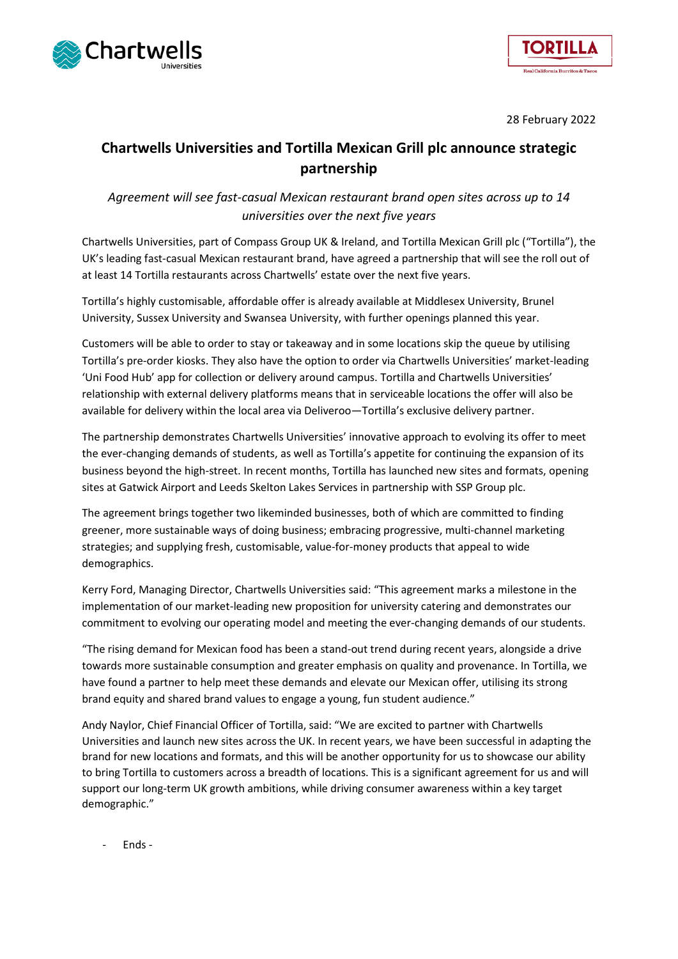



28 February 2022

# **Chartwells Universities and Tortilla Mexican Grill plc announce strategic partnership**

*Agreement will see fast-casual Mexican restaurant brand open sites across up to 14 universities over the next five years*

Chartwells Universities, part of Compass Group UK & Ireland, and Tortilla Mexican Grill plc ("Tortilla"), the UK's leading fast-casual Mexican restaurant brand, have agreed a partnership that will see the roll out of at least 14 Tortilla restaurants across Chartwells' estate over the next five years.

Tortilla's highly customisable, affordable offer is already available at Middlesex University, Brunel University, Sussex University and Swansea University, with further openings planned this year.

Customers will be able to order to stay or takeaway and in some locations skip the queue by utilising Tortilla's pre-order kiosks. They also have the option to order via Chartwells Universities' market-leading 'Uni Food Hub' app for collection or delivery around campus. Tortilla and Chartwells Universities' relationship with external delivery platforms means that in serviceable locations the offer will also be available for delivery within the local area via Deliveroo—Tortilla's exclusive delivery partner.

The partnership demonstrates Chartwells Universities' innovative approach to evolving its offer to meet the ever-changing demands of students, as well as Tortilla's appetite for continuing the expansion of its business beyond the high-street. In recent months, Tortilla has launched new sites and formats, opening sites at Gatwick Airport and Leeds Skelton Lakes Services in partnership with SSP Group plc.

The agreement brings together two likeminded businesses, both of which are committed to finding greener, more sustainable ways of doing business; embracing progressive, multi-channel marketing strategies; and supplying fresh, customisable, value-for-money products that appeal to wide demographics.

Kerry Ford, Managing Director, Chartwells Universities said: "This agreement marks a milestone in the implementation of our market-leading new proposition for university catering and demonstrates our commitment to evolving our operating model and meeting the ever-changing demands of our students.

"The rising demand for Mexican food has been a stand-out trend during recent years, alongside a drive towards more sustainable consumption and greater emphasis on quality and provenance. In Tortilla, we have found a partner to help meet these demands and elevate our Mexican offer, utilising its strong brand equity and shared brand values to engage a young, fun student audience."

Andy Naylor, Chief Financial Officer of Tortilla, said: "We are excited to partner with Chartwells Universities and launch new sites across the UK. In recent years, we have been successful in adapting the brand for new locations and formats, and this will be another opportunity for us to showcase our ability to bring Tortilla to customers across a breadth of locations. This is a significant agreement for us and will support our long-term UK growth ambitions, while driving consumer awareness within a key target demographic."

- Ends -